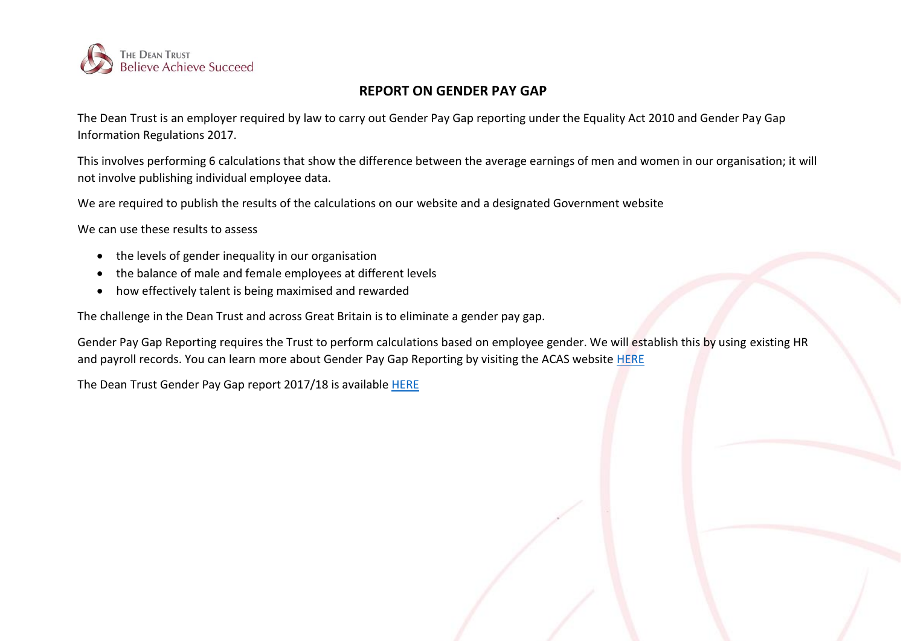

## **REPORT ON GENDER PAY GAP**

The Dean Trust is an employer required by law to carry out Gender Pay Gap reporting under the Equality Act 2010 and Gender Pay Gap Information Regulations 2017.

This involves performing 6 calculations that show the difference between the average earnings of men and women in our organisation; it will not involve publishing individual employee data.

We are required to publish the results of the calculations on our website and a designated Government website

We can use these results to assess

- the levels of gender inequality in our organisation
- the balance of male and female employees at different levels
- how effectively talent is being maximised and rewarded

The challenge in the Dean Trust and across Great Britain is to eliminate a gender pay gap.

Gender Pay Gap Reporting requires the Trust to perform calculations based on employee gender. We will establish this by using existing HR and payroll records. You can learn more about Gender Pay Gap Reporting by visiting the ACAS website [HERE](http://www.acas.org.uk/index.aspx?articleid=5768)

The Dean Trust Gender Pay Gap report 2017/18 is available [HERE](https://www.thedeantrust.co.uk/trust-information/further-downloads/)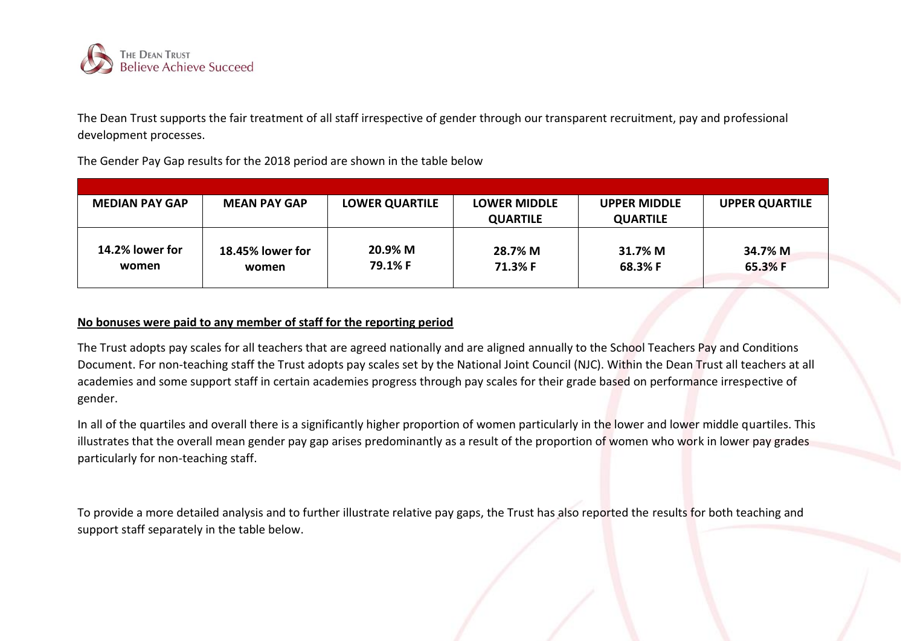

The Dean Trust supports the fair treatment of all staff irrespective of gender through our transparent recruitment, pay and professional development processes.

The Gender Pay Gap results for the 2018 period are shown in the table below

| <b>MEDIAN PAY GAP</b>    | <b>MEAN PAY GAP</b>       | <b>LOWER QUARTILE</b> | <b>LOWER MIDDLE</b> | <b>UPPER MIDDLE</b> | <b>UPPER QUARTILE</b> |
|--------------------------|---------------------------|-----------------------|---------------------|---------------------|-----------------------|
|                          |                           |                       | <b>QUARTILE</b>     | <b>QUARTILE</b>     |                       |
| 14.2% lower for<br>women | 18.45% lower for<br>women | 20.9% M<br>79.1% F    | 28.7% M<br>71.3% F  | 31.7% M<br>68.3% F  | 34.7% M<br>65.3% F    |

## **No bonuses were paid to any member of staff for the reporting period**

The Trust adopts pay scales for all teachers that are agreed nationally and are aligned annually to the School Teachers Pay and Conditions Document. For non-teaching staff the Trust adopts pay scales set by the National Joint Council (NJC). Within the Dean Trust all teachers at all academies and some support staff in certain academies progress through pay scales for their grade based on performance irrespective of gender.

In all of the quartiles and overall there is a significantly higher proportion of women particularly in the lower and lower middle quartiles. This illustrates that the overall mean gender pay gap arises predominantly as a result of the proportion of women who work in lower pay grades particularly for non-teaching staff.

To provide a more detailed analysis and to further illustrate relative pay gaps, the Trust has also reported the results for both teaching and support staff separately in the table below.